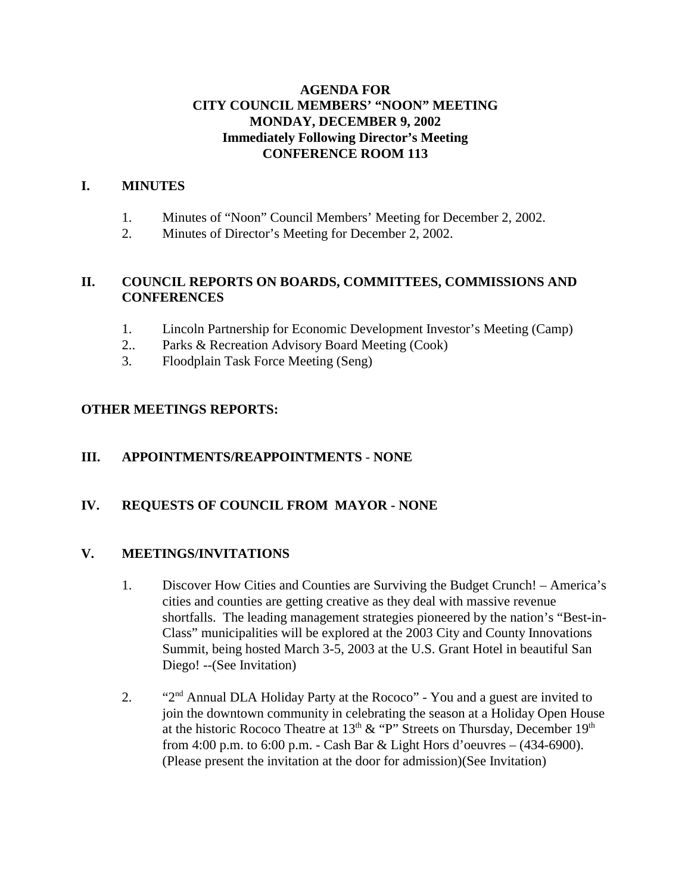# **AGENDA FOR CITY COUNCIL MEMBERS' "NOON" MEETING MONDAY, DECEMBER 9, 2002 Immediately Following Director's Meeting CONFERENCE ROOM 113**

# **I. MINUTES**

- 1. Minutes of "Noon" Council Members' Meeting for December 2, 2002.
- 2. Minutes of Director's Meeting for December 2, 2002.

# **II. COUNCIL REPORTS ON BOARDS, COMMITTEES, COMMISSIONS AND CONFERENCES**

- 1. Lincoln Partnership for Economic Development Investor's Meeting (Camp)
- 2.. Parks & Recreation Advisory Board Meeting (Cook)
- 3. Floodplain Task Force Meeting (Seng)

# **OTHER MEETINGS REPORTS:**

### **III. APPOINTMENTS/REAPPOINTMENTS** - **NONE**

# **IV. REQUESTS OF COUNCIL FROM MAYOR - NONE**

### **V. MEETINGS/INVITATIONS**

- 1. Discover How Cities and Counties are Surviving the Budget Crunch! America's cities and counties are getting creative as they deal with massive revenue shortfalls. The leading management strategies pioneered by the nation's "Best-in-Class" municipalities will be explored at the 2003 City and County Innovations Summit, being hosted March 3-5, 2003 at the U.S. Grant Hotel in beautiful San Diego! --(See Invitation)
- 2. "2<sup>nd</sup> Annual DLA Holiday Party at the Rococo" You and a guest are invited to join the downtown community in celebrating the season at a Holiday Open House at the historic Rococo Theatre at  $13<sup>th</sup>$  & "P" Streets on Thursday, December  $19<sup>th</sup>$ from 4:00 p.m. to 6:00 p.m. - Cash Bar & Light Hors d'oeuvres – (434-6900). (Please present the invitation at the door for admission)(See Invitation)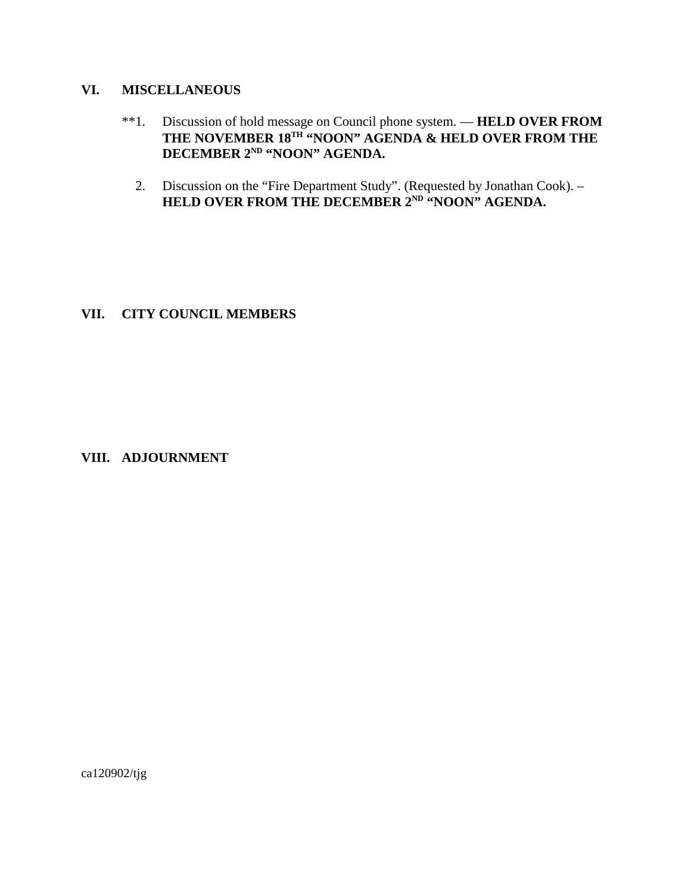#### **VI. MISCELLANEOUS**

- \*\*1. Discussion of hold message on Council phone system. **HELD OVER FROM** THE NOVEMBER 18<sup>TH</sup> "NOON" AGENDA & HELD OVER FROM THE **DECEMBER 2ND "NOON" AGENDA.**
- 2. Discussion on the "Fire Department Study". (Requested by Jonathan Cook). **HELD OVER FROM THE DECEMBER 2ND "NOON" AGENDA.**

#### **VII. CITY COUNCIL MEMBERS**

### **VIII. ADJOURNMENT**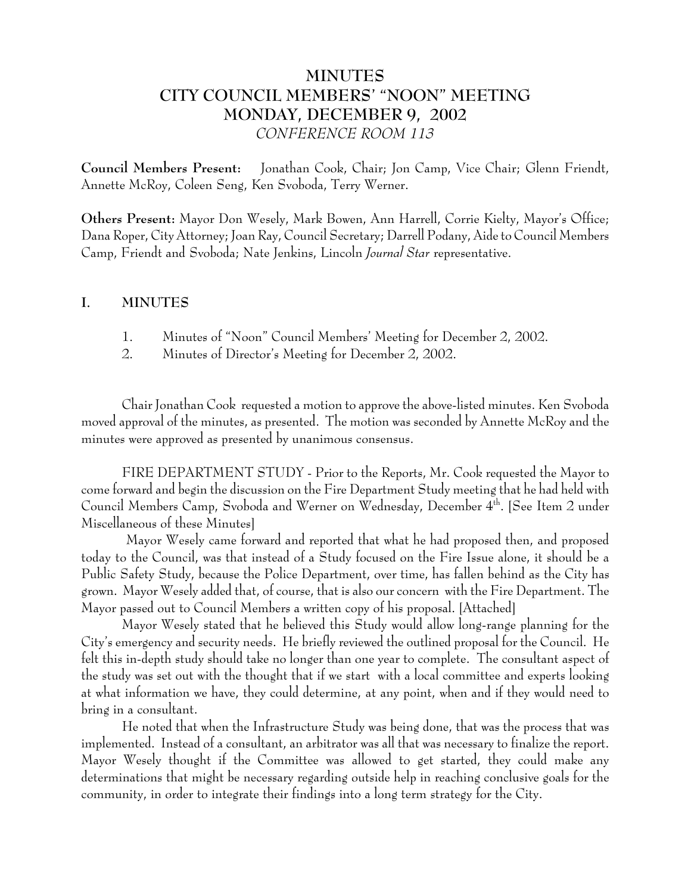# **MINUTES CITY COUNCIL MEMBERS' "NOON" MEETING MONDAY, DECEMBER 9, 2002** *CONFERENCE ROOM 113*

**Council Members Present:** Jonathan Cook, Chair; Jon Camp, Vice Chair; Glenn Friendt, Annette McRoy, Coleen Seng, Ken Svoboda, Terry Werner.

**Others Present:** Mayor Don Wesely, Mark Bowen, Ann Harrell, Corrie Kielty, Mayor's Office; Dana Roper, City Attorney; Joan Ray, Council Secretary; Darrell Podany, Aide to Council Members Camp, Friendt and Svoboda; Nate Jenkins, Lincoln *Journal Star* representative.

### **I. MINUTES**

- 1. Minutes of "Noon" Council Members' Meeting for December 2, 2002.
- 2. Minutes of Director's Meeting for December 2, 2002.

Chair Jonathan Cook requested a motion to approve the above-listed minutes. Ken Svoboda moved approval of the minutes, as presented. The motion was seconded by Annette McRoy and the minutes were approved as presented by unanimous consensus.

FIRE DEPARTMENT STUDY - Prior to the Reports, Mr. Cook requested the Mayor to come forward and begin the discussion on the Fire Department Study meeting that he had held with Council Members Camp, Svoboda and Werner on Wednesday, December 4<sup>th</sup>. [See Item 2 under Miscellaneous of these Minutes]

 Mayor Wesely came forward and reported that what he had proposed then, and proposed today to the Council, was that instead of a Study focused on the Fire Issue alone, it should be a Public Safety Study, because the Police Department, over time, has fallen behind as the City has grown. Mayor Wesely added that, of course, that is also our concern with the Fire Department. The Mayor passed out to Council Members a written copy of his proposal. [Attached]

Mayor Wesely stated that he believed this Study would allow long-range planning for the City's emergency and security needs. He briefly reviewed the outlined proposal for the Council. He felt this in-depth study should take no longer than one year to complete. The consultant aspect of the study was set out with the thought that if we start with a local committee and experts looking at what information we have, they could determine, at any point, when and if they would need to bring in a consultant.

He noted that when the Infrastructure Study was being done, that was the process that was implemented. Instead of a consultant, an arbitrator was all that was necessary to finalize the report. Mayor Wesely thought if the Committee was allowed to get started, they could make any determinations that might be necessary regarding outside help in reaching conclusive goals for the community, in order to integrate their findings into a long term strategy for the City.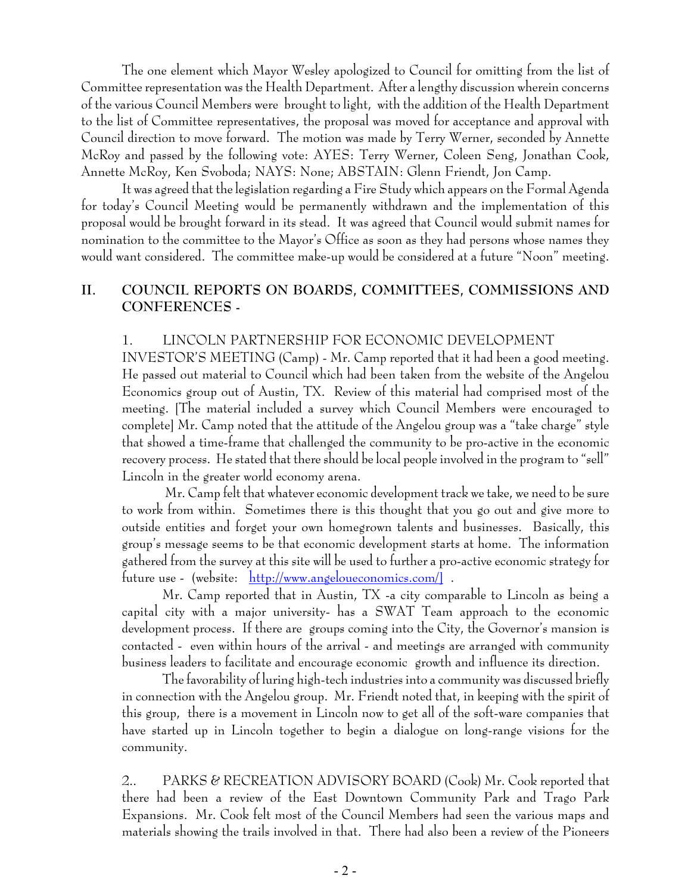The one element which Mayor Wesley apologized to Council for omitting from the list of Committee representation was the Health Department. After a lengthy discussion wherein concerns of the various Council Members were brought to light, with the addition of the Health Department to the list of Committee representatives, the proposal was moved for acceptance and approval with Council direction to move forward. The motion was made by Terry Werner, seconded by Annette McRoy and passed by the following vote: AYES: Terry Werner, Coleen Seng, Jonathan Cook, Annette McRoy, Ken Svoboda; NAYS: None; ABSTAIN: Glenn Friendt, Jon Camp.

It was agreed that the legislation regarding a Fire Study which appears on the Formal Agenda for today's Council Meeting would be permanently withdrawn and the implementation of this proposal would be brought forward in its stead. It was agreed that Council would submit names for nomination to the committee to the Mayor's Office as soon as they had persons whose names they would want considered. The committee make-up would be considered at a future "Noon" meeting.

# **II. COUNCIL REPORTS ON BOARDS, COMMITTEES, COMMISSIONS AND CONFERENCES -**

#### 1. LINCOLN PARTNERSHIP FOR ECONOMIC DEVELOPMENT

INVESTOR'S MEETING (Camp) - Mr. Camp reported that it had been a good meeting. He passed out material to Council which had been taken from the website of the Angelou Economics group out of Austin, TX. Review of this material had comprised most of the meeting. [The material included a survey which Council Members were encouraged to complete] Mr. Camp noted that the attitude of the Angelou group was a "take charge" style that showed a time-frame that challenged the community to be pro-active in the economic recovery process. He stated that there should be local people involved in the program to "sell" Lincoln in the greater world economy arena.

 Mr. Camp felt that whatever economic development track we take, we need to be sure to work from within. Sometimes there is this thought that you go out and give more to outside entities and forget your own homegrown talents and businesses. Basically, this group's message seems to be that economic development starts at home. The information gathered from the survey at this site will be used to further a pro-active economic strategy for future use - (website: http://www.angeloueconomics.com/] .

Mr. Camp reported that in Austin, TX -a city comparable to Lincoln as being a capital city with a major university- has a SWAT Team approach to the economic development process. If there are groups coming into the City, the Governor's mansion is contacted - even within hours of the arrival - and meetings are arranged with community business leaders to facilitate and encourage economic growth and influence its direction.

The favorability of luring high-tech industries into a community was discussed briefly in connection with the Angelou group. Mr. Friendt noted that, in keeping with the spirit of this group, there is a movement in Lincoln now to get all of the soft-ware companies that have started up in Lincoln together to begin a dialogue on long-range visions for the community.

2.. PARKS & RECREATION ADVISORY BOARD (Cook) Mr. Cook reported that there had been a review of the East Downtown Community Park and Trago Park Expansions. Mr. Cook felt most of the Council Members had seen the various maps and materials showing the trails involved in that. There had also been a review of the Pioneers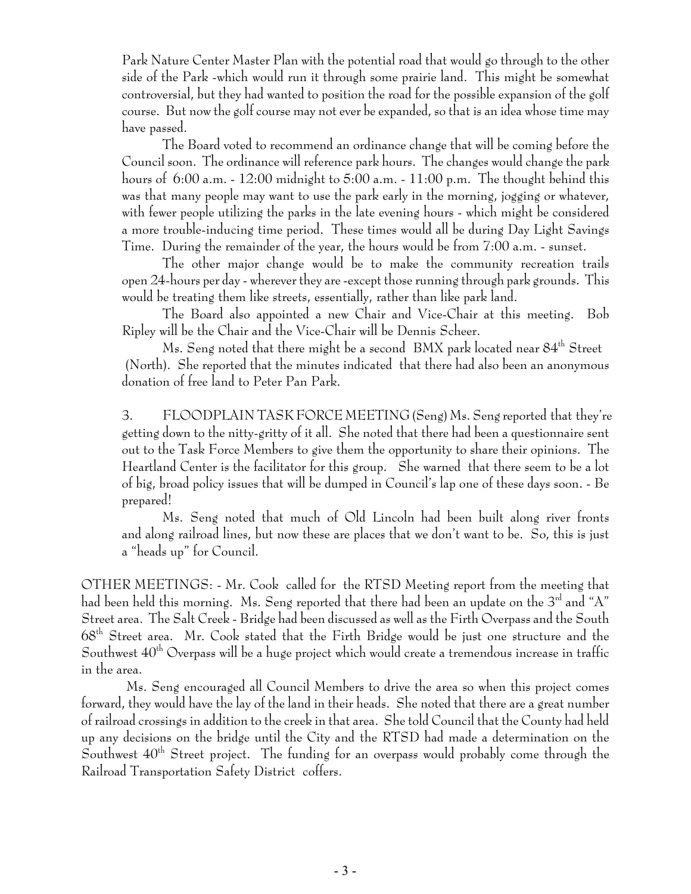Park Nature Center Master Plan with the potential road that would go through to the other side of the Park -which would run it through some prairie land. This might be somewhat controversial, but they had wanted to position the road for the possible expansion of the golf course. But now the golf course may not ever be expanded, so that is an idea whose time may have passed.

The Board voted to recommend an ordinance change that will be coming before the Council soon. The ordinance will reference park hours. The changes would change the park hours of 6:00 a.m. - 12:00 midnight to 5:00 a.m. - 11:00 p.m. The thought behind this was that many people may want to use the park early in the morning, jogging or whatever, with fewer people utilizing the parks in the late evening hours - which might be considered a more trouble-inducing time period. These times would all be during Day Light Savings Time. During the remainder of the year, the hours would be from 7:00 a.m. - sunset.

The other major change would be to make the community recreation trails open 24-hours per day - wherever they are -except those running through park grounds. This would be treating them like streets, essentially, rather than like park land.

The Board also appointed a new Chair and Vice-Chair at this meeting. Bob Ripley will be the Chair and the Vice-Chair will be Dennis Scheer.

Ms. Seng noted that there might be a second BMX park located near 84<sup>th</sup> Street (North). She reported that the minutes indicated that there had also been an anonymous donation of free land to Peter Pan Park.

3. FLOODPLAIN TASK FORCE MEETING (Seng) Ms. Seng reported that they're getting down to the nitty-gritty of it all. She noted that there had been a questionnaire sent out to the Task Force Members to give them the opportunity to share their opinions. The Heartland Center is the facilitator for this group. She warned that there seem to be a lot of big, broad policy issues that will be dumped in Council's lap one of these days soon. - Be prepared!

Ms. Seng noted that much of Old Lincoln had been built along river fronts and along railroad lines, but now these are places that we don't want to be. So, this is just a "heads up" for Council.

OTHER MEETINGS: - Mr. Cook called for the RTSD Meeting report from the meeting that had been held this morning. Ms. Seng reported that there had been an update on the  $3<sup>rd</sup>$  and "A" Street area. The Salt Creek - Bridge had been discussed as well as the Firth Overpass and the South 68th Street area. Mr. Cook stated that the Firth Bridge would be just one structure and the Southwest  $40^{th}$  Overpass will be a huge project which would create a tremendous increase in traffic in the area.

 Ms. Seng encouraged all Council Members to drive the area so when this project comes forward, they would have the lay of the land in their heads. She noted that there are a great number of railroad crossings in addition to the creek in that area. She told Council that the County had held up any decisions on the bridge until the City and the RTSD had made a determination on the Southwest  $40<sup>th</sup>$  Street project. The funding for an overpass would probably come through the Railroad Transportation Safety District coffers.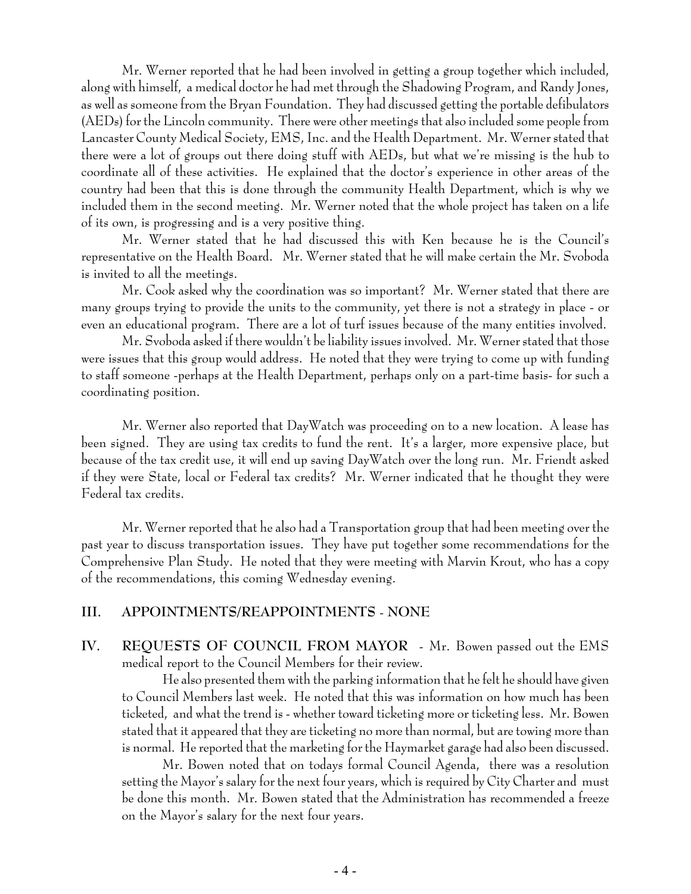Mr. Werner reported that he had been involved in getting a group together which included, along with himself, a medical doctor he had met through the Shadowing Program, and Randy Jones, as well as someone from the Bryan Foundation. They had discussed getting the portable defibulators (AEDs) for the Lincoln community. There were other meetings that also included some people from Lancaster County Medical Society, EMS, Inc. and the Health Department. Mr. Werner stated that there were a lot of groups out there doing stuff with AEDs, but what we're missing is the hub to coordinate all of these activities. He explained that the doctor's experience in other areas of the country had been that this is done through the community Health Department, which is why we included them in the second meeting. Mr. Werner noted that the whole project has taken on a life of its own, is progressing and is a very positive thing.

Mr. Werner stated that he had discussed this with Ken because he is the Council's representative on the Health Board. Mr. Werner stated that he will make certain the Mr. Svoboda is invited to all the meetings.

Mr. Cook asked why the coordination was so important? Mr. Werner stated that there are many groups trying to provide the units to the community, yet there is not a strategy in place - or even an educational program. There are a lot of turf issues because of the many entities involved.

Mr. Svoboda asked if there wouldn't be liability issues involved. Mr. Werner stated that those were issues that this group would address. He noted that they were trying to come up with funding to staff someone -perhaps at the Health Department, perhaps only on a part-time basis- for such a coordinating position.

Mr. Werner also reported that DayWatch was proceeding on to a new location. A lease has been signed. They are using tax credits to fund the rent. It's a larger, more expensive place, but because of the tax credit use, it will end up saving DayWatch over the long run. Mr. Friendt asked if they were State, local or Federal tax credits? Mr. Werner indicated that he thought they were Federal tax credits.

Mr. Werner reported that he also had a Transportation group that had been meeting over the past year to discuss transportation issues. They have put together some recommendations for the Comprehensive Plan Study. He noted that they were meeting with Marvin Krout, who has a copy of the recommendations, this coming Wednesday evening.

### **III. APPOINTMENTS/REAPPOINTMENTS** - **NONE**

**IV. REQUESTS OF COUNCIL FROM MAYOR** - Mr. Bowen passed out the EMS medical report to the Council Members for their review.

He also presented them with the parking information that he felt he should have given to Council Members last week. He noted that this was information on how much has been ticketed, and what the trend is - whether toward ticketing more or ticketing less. Mr. Bowen stated that it appeared that they are ticketing no more than normal, but are towing more than is normal. He reported that the marketing for the Haymarket garage had also been discussed.

Mr. Bowen noted that on todays formal Council Agenda, there was a resolution setting the Mayor's salary for the next four years, which is required by City Charter and must be done this month. Mr. Bowen stated that the Administration has recommended a freeze on the Mayor's salary for the next four years.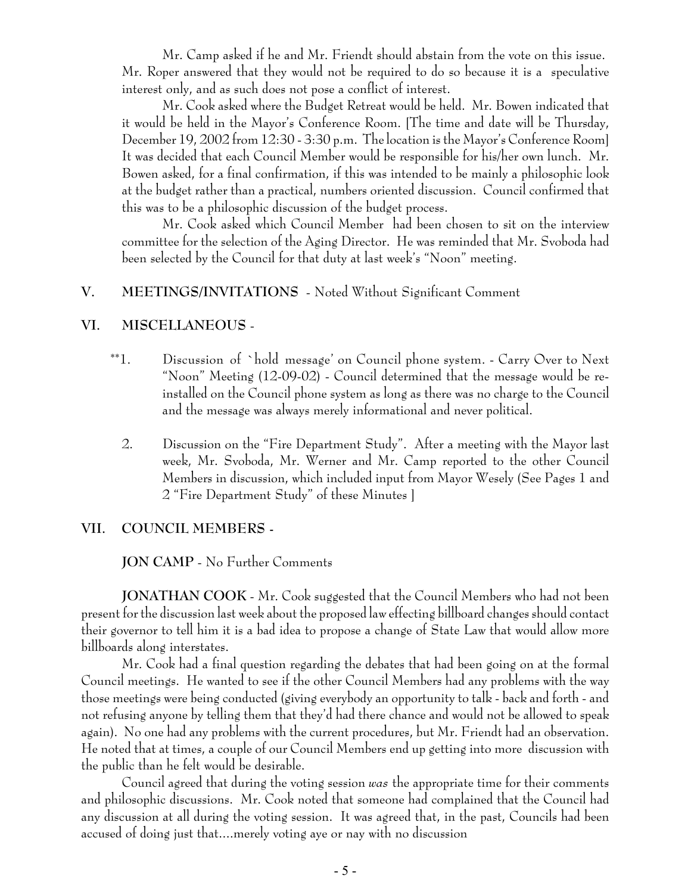Mr. Camp asked if he and Mr. Friendt should abstain from the vote on this issue. Mr. Roper answered that they would not be required to do so because it is a speculative interest only, and as such does not pose a conflict of interest.

Mr. Cook asked where the Budget Retreat would be held. Mr. Bowen indicated that it would be held in the Mayor's Conference Room. [The time and date will be Thursday, December 19, 2002 from 12:30 - 3:30 p.m. The location is the Mayor's Conference Room] It was decided that each Council Member would be responsible for his/her own lunch. Mr. Bowen asked, for a final confirmation, if this was intended to be mainly a philosophic look at the budget rather than a practical, numbers oriented discussion. Council confirmed that this was to be a philosophic discussion of the budget process.

Mr. Cook asked which Council Member had been chosen to sit on the interview committee for the selection of the Aging Director. He was reminded that Mr. Svoboda had been selected by the Council for that duty at last week's "Noon" meeting.

### **V. MEETINGS/INVITATIONS** - Noted Without Significant Comment

#### **VI. MISCELLANEOUS** -

- \*\*1. Discussion of `hold message' on Council phone system. Carry Over to Next "Noon" Meeting (12-09-02) - Council determined that the message would be reinstalled on the Council phone system as long as there was no charge to the Council and the message was always merely informational and never political.
	- 2. Discussion on the "Fire Department Study". After a meeting with the Mayor last week, Mr. Svoboda, Mr. Werner and Mr. Camp reported to the other Council Members in discussion, which included input from Mayor Wesely (See Pages 1 and 2 "Fire Department Study" of these Minutes ]

#### **VII. COUNCIL MEMBERS -**

**JON CAMP** - No Further Comments

**JONATHAN COOK** - Mr. Cook suggested that the Council Members who had not been present for the discussion last week about the proposed law effecting billboard changes should contact their governor to tell him it is a bad idea to propose a change of State Law that would allow more billboards along interstates.

Mr. Cook had a final question regarding the debates that had been going on at the formal Council meetings. He wanted to see if the other Council Members had any problems with the way those meetings were being conducted (giving everybody an opportunity to talk - back and forth - and not refusing anyone by telling them that they'd had there chance and would not be allowed to speak again). No one had any problems with the current procedures, but Mr. Friendt had an observation. He noted that at times, a couple of our Council Members end up getting into more discussion with the public than he felt would be desirable.

Council agreed that during the voting session *was* the appropriate time for their comments and philosophic discussions. Mr. Cook noted that someone had complained that the Council had any discussion at all during the voting session. It was agreed that, in the past, Councils had been accused of doing just that....merely voting aye or nay with no discussion